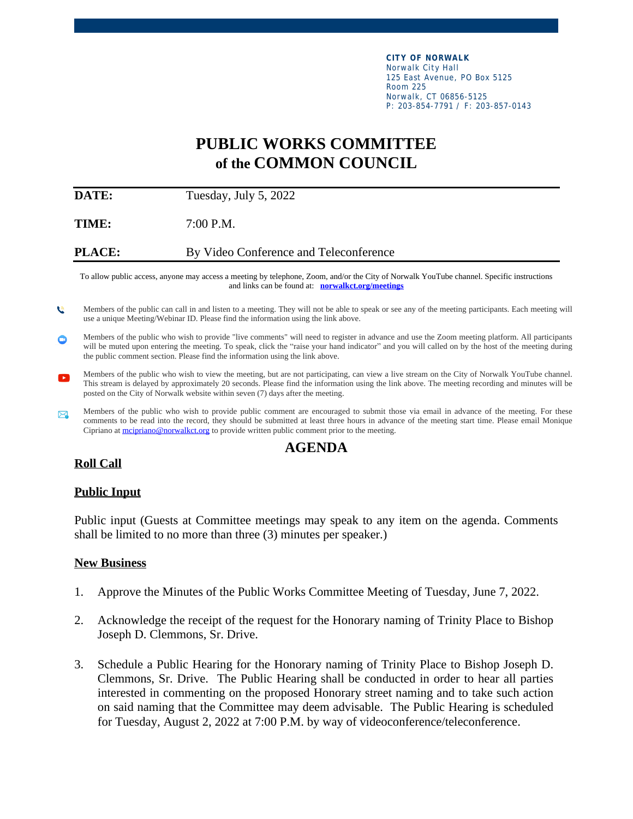**CITY OF NORWALK** Norwalk City Hall 125 East Avenue, PO Box 5125 Room 225 Norwalk, CT 06856-5125 P: 203-854-7791 / F: 203-857-0143

# **PUBLIC WORKS COMMITTEE of the COMMON COUNCIL**

**DATE:** Tuesday, July 5, 2022

**TIME:** 7:00 P.M.

**PLACE:** By Video Conference and Teleconference

To allow public access, anyone may access a meeting by telephone, Zoom, and/or the City of Norwalk YouTube channel. Specific instructions and links can be found at: **[norwalkct.org/meetings](file:///\\\\chitna_ds01\\CityUsers\\DPW\\MCiprian\\Public%20Works%20Agendas\\2020\\norwalkct.org\\meetings)**

- Members of the public can call in and listen to a meeting. They will not be able to speak or see any of the meeting participants. Each meeting will  $\mathbf{c}$ use a unique Meeting/Webinar ID. Please find the information using the link above.
- Members of the public who wish to provide "live comments" will need to register in advance and use the Zoom meeting platform. All participants Φ will be muted upon entering the meeting. To speak, click the "raise your hand indicator" and you will called on by the host of the meeting during the public comment section. Please find the information using the link above.
- Members of the public who wish to view the meeting, but are not participating, can view a live stream on the City of Norwalk YouTube channel.  $\mathbf{r}$ This stream is delayed by approximately 20 seconds. Please find the information using the link above. The meeting recording and minutes will be posted on the City of Norwalk website within seven (7) days after the meeting.
- Members of the public who wish to provide public comment are encouraged to submit those via email in advance of the meeting. For these  $\boxtimes$ comments to be read into the record, they should be submitted at least three hours in advance of the meeting start time. Please email Monique Cipriano at [mcipriano@norwalkct.org](mailto:mcipriano@norwalkct.org) to provide written public comment prior to the meeting.

# **AGENDA**

## **Roll Call**

#### **Public Input**

Public input (Guests at Committee meetings may speak to any item on the agenda. Comments shall be limited to no more than three (3) minutes per speaker.)

#### **New Business**

- 1. Approve the Minutes of the Public Works Committee Meeting of Tuesday, June 7, 2022.
- 2. Acknowledge the receipt of the request for the Honorary naming of Trinity Place to Bishop Joseph D. Clemmons, Sr. Drive.
- 3. Schedule a Public Hearing for the Honorary naming of Trinity Place to Bishop Joseph D. Clemmons, Sr. Drive. The Public Hearing shall be conducted in order to hear all parties interested in commenting on the proposed Honorary street naming and to take such action on said naming that the Committee may deem advisable. The Public Hearing is scheduled for Tuesday, August 2, 2022 at 7:00 P.M. by way of videoconference/teleconference.